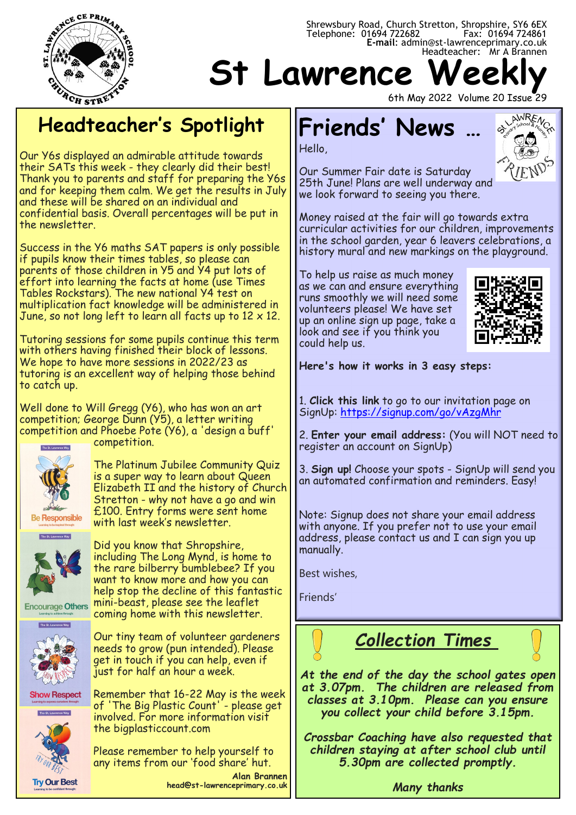

#### Telephone: 01694 722682 Fax: 01694 724861 **E-mail**: admin@st-lawrenceprimary.co.uk Headteacher: Mr A Brannen **St Lawrence Week**

## **Headteacher's Spotlight**

Our Y6s displayed an admirable attitude towards their SATs this week - they clearly did their best! Thank you to parents and staff for preparing the Y6s and for keeping them calm. We get the results in July and these will be shared on an individual and confidential basis. Overall percentages will be put in the newsletter.

Success in the Y6 maths SAT papers is only possible if pupils know their times tables, so please can parents of those children in Y5 and Y4 put lots of effort into learning the facts at home (use Times Tables Rockstars). The new national Y4 test on multiplication fact knowledge will be administered in June, so not long left to learn all facts up to  $12 \times 12$ .

Tutoring sessions for some pupils continue this term with others having finished their block of lessons. We hope to have more sessions in 2022/23 as tutoring is an excellent way of helping those behind to catch up.

Well done to Will Gregg (Y6), who has won an art competition; George Dunn (Y5), a letter writing competition and Phoebe Pote (Y6), a 'design a buff' competition.



The Platinum Jubilee Community Quiz is a super way to learn about Queen Elizabeth II and the history of Church Stretton - why not have a go and win £100. Entry forms were sent home with last week's newsletter.

Did you know that Shropshire, including The Long Mynd, is home to the rare bilberry bumblebee? If you want to know more and how you can help stop the decline of this fantastic mini-beast, please see the leaflet

**Encourage Others** coming home with this newsletter.



**Try Our Best** 

Our tiny team of volunteer gardeners needs to grow (pun intended). Please get in touch if you can help, even if just for half an hour a week.

Remember that 16-22 May is the week **Show Respect** of 'The Big Plastic Count' - please get involved. For more information visit the bigplasticcount.com

> Please remember to help yourself to any items from our 'food share' hut.

**Alan Brannen head@st-lawrenceprimary.co.uk**

6th May 2022 Volume 20 Issue 29

# **Friends' News …**

Hello,



Our Summer Fair date is Saturday 25th June! Plans are well underway and we look forward to seeing you there.

Money raised at the fair will go towards extra curricular activities for our children, improvements in the school garden, year 6 leavers celebrations, a history mural and new markings on the playground.

Shrewsbury Road, Church Stretton, Shropshire, SY6 6EX

To help us raise as much money as we can and ensure everything runs smoothly we will need some volunteers please! We have set up an online sign up page, take a look and see if you think you could help us.



**Here's how it works in 3 easy steps:**

1. **Click this link** to go to our invitation page on SignUp: [https://signup.com/go/vAzgMhr](https://nam12.safelinks.protection.outlook.com/?url=https%3A%2F%2Flinks.signup.com%2F%3Fref%3DR3MAAH5hSsd62pU_92oyFzc01ZMyNMTFAQAAAFWg8reyQ2Gtlscvyvasu-cdDksUujLyfyo0ytqWWx47xIiJuCsfAWuqHN2Q-Y_jDW65GZUACUi3Q0AVP97QaKgqBWuKnHSYsZ7v7VYYjFxSlN2h1B9c3ezK19yO-nleC)

2. **Enter your email address:** (You will NOT need to register an account on SignUp)

3. **Sign up!** Choose your spots - SignUp will send you an automated confirmation and reminders. Easy!

Note: Signup does not share your email address with anyone. If you prefer not to use your email address, please contact us and I can sign you up manually.

Best wishes,

Friends'

*Collection Times*

*At the end of the day the school gates open at 3.07pm. The children are released from classes at 3.10pm. Please can you ensure you collect your child before 3.15pm.*

*Crossbar Coaching have also requested that children staying at after school club until 5.30pm are collected promptly.* 

*Many thanks*